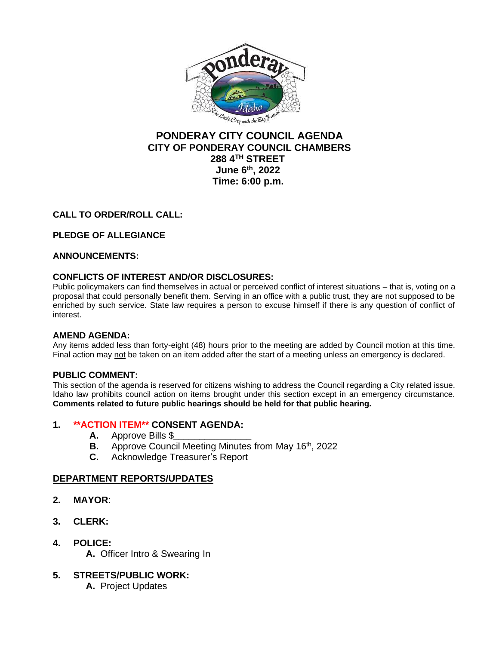

# **PONDERAY CITY COUNCIL AGENDA CITY OF PONDERAY COUNCIL CHAMBERS 288 4TH STREET June 6 th, 2022 Time: 6:00 p.m.**

## **CALL TO ORDER/ROLL CALL:**

# **PLEDGE OF ALLEGIANCE**

### **ANNOUNCEMENTS:**

### **CONFLICTS OF INTEREST AND/OR DISCLOSURES:**

Public policymakers can find themselves in actual or perceived conflict of interest situations – that is, voting on a proposal that could personally benefit them. Serving in an office with a public trust, they are not supposed to be enriched by such service. State law requires a person to excuse himself if there is any question of conflict of interest.

### **AMEND AGENDA:**

Any items added less than forty-eight (48) hours prior to the meeting are added by Council motion at this time. Final action may not be taken on an item added after the start of a meeting unless an emergency is declared.

### **PUBLIC COMMENT:**

This section of the agenda is reserved for citizens wishing to address the Council regarding a City related issue. Idaho law prohibits council action on items brought under this section except in an emergency circumstance. **Comments related to future public hearings should be held for that public hearing.**

### **1. \*\*ACTION ITEM\*\* CONSENT AGENDA:**

- **A.** Approve Bills \$*\_\_\_\_\_\_\_\_\_\_\_\_\_\_\_*
- **B.** Approve Council Meeting Minutes from May 16<sup>th</sup>, 2022
- **C.** Acknowledge Treasurer's Report

### **DEPARTMENT REPORTS/UPDATES**

- **2. MAYOR**:
- **3. CLERK:**
- **4. POLICE:**
	- **A.** Officer Intro & Swearing In
- **5. STREETS/PUBLIC WORK:**
	- **A.** Project Updates